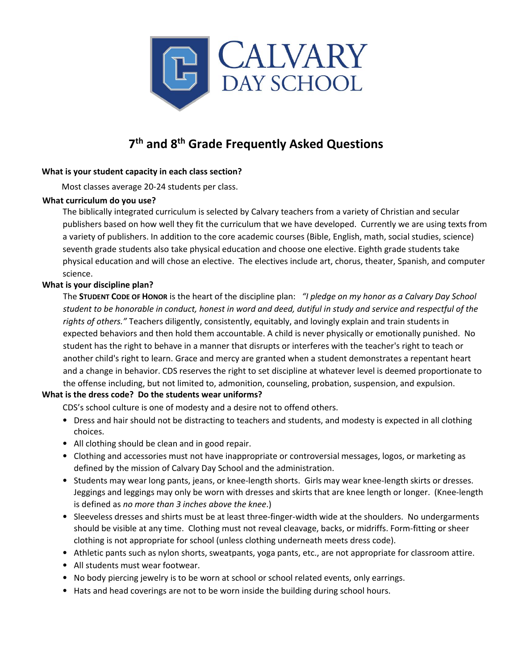

# **7 th and 8th Grade Frequently Asked Questions**

# **What is your student capacity in each class section?**

Most classes average 20-24 students per class.

# **What curriculum do you use?**

The biblically integrated curriculum is selected by Calvary teachers from a variety of Christian and secular publishers based on how well they fit the curriculum that we have developed. Currently we are using texts from a variety of publishers. In addition to the core academic courses (Bible, English, math, social studies, science) seventh grade students also take physical education and choose one elective. Eighth grade students take physical education and will chose an elective. The electives include art, chorus, theater, Spanish, and computer science.

# **What is your discipline plan?**

The **STUDENT CODE OF HONOR** is the heart of the discipline plan: *"I pledge on my honor as a Calvary Day School student to be honorable in conduct, honest in word and deed, dutiful in study and service and respectful of the rights of others."* Teachers diligently, consistently, equitably, and lovingly explain and train students in expected behaviors and then hold them accountable. A child is never physically or emotionally punished. No student has the right to behave in a manner that disrupts or interferes with the teacher's right to teach or another child's right to learn. Grace and mercy are granted when a student demonstrates a repentant heart and a change in behavior. CDS reserves the right to set discipline at whatever level is deemed proportionate to the offense including, but not limited to, admonition, counseling, probation, suspension, and expulsion.

# **What is the dress code? Do the students wear uniforms?**

CDS's school culture is one of modesty and a desire not to offend others.

- Dress and hair should not be distracting to teachers and students, and modesty is expected in all clothing choices.
- All clothing should be clean and in good repair.
- Clothing and accessories must not have inappropriate or controversial messages, logos, or marketing as defined by the mission of Calvary Day School and the administration.
- Students may wear long pants, jeans, or knee-length shorts. Girls may wear knee-length skirts or dresses. Jeggings and leggings may only be worn with dresses and skirts that are knee length or longer. (Knee-length is defined as *no more than 3 inches above the knee*.)
- Sleeveless dresses and shirts must be at least three-finger-width wide at the shoulders. No undergarments should be visible at any time. Clothing must not reveal cleavage, backs, or midriffs. Form-fitting or sheer clothing is not appropriate for school (unless clothing underneath meets dress code).
- Athletic pants such as nylon shorts, sweatpants, yoga pants, etc., are not appropriate for classroom attire.
- All students must wear footwear.
- No body piercing jewelry is to be worn at school or school related events, only earrings.
- Hats and head coverings are not to be worn inside the building during school hours.